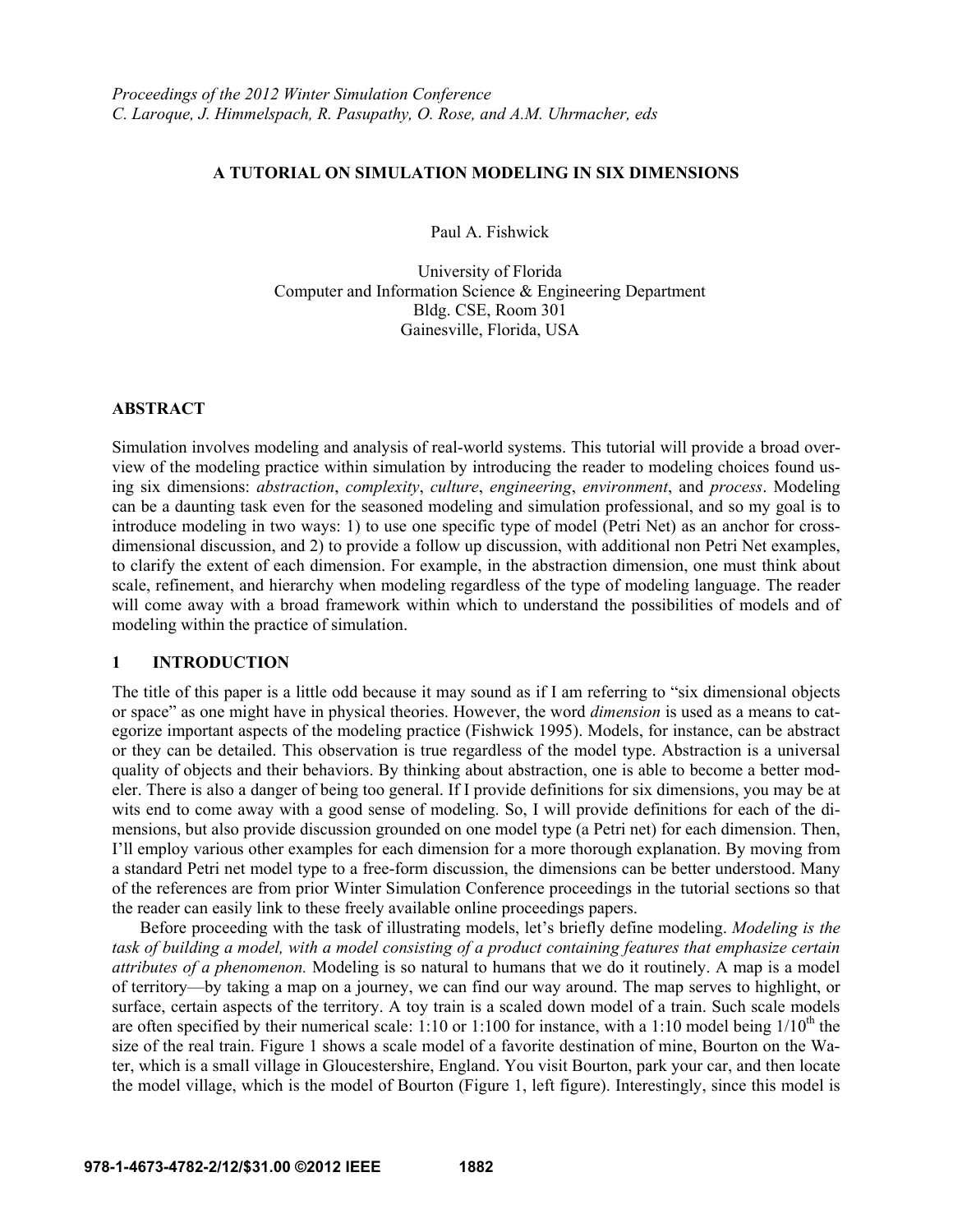## **A TUTORIAL ON SIMULATION MODELING IN SIX DIMENSIONS**

Paul A. Fishwick

University of Florida Computer and Information Science & Engineering Department Bldg. CSE, Room 301 Gainesville, Florida, USA

## **ABSTRACT**

Simulation involves modeling and analysis of real-world systems. This tutorial will provide a broad overview of the modeling practice within simulation by introducing the reader to modeling choices found using six dimensions: *abstraction*, *complexity*, *culture*, *engineering*, *environment*, and *process*. Modeling can be a daunting task even for the seasoned modeling and simulation professional, and so my goal is to introduce modeling in two ways: 1) to use one specific type of model (Petri Net) as an anchor for crossdimensional discussion, and 2) to provide a follow up discussion, with additional non Petri Net examples, to clarify the extent of each dimension. For example, in the abstraction dimension, one must think about scale, refinement, and hierarchy when modeling regardless of the type of modeling language. The reader will come away with a broad framework within which to understand the possibilities of models and of modeling within the practice of simulation.

# **1 INTRODUCTION**

The title of this paper is a little odd because it may sound as if I am referring to "six dimensional objects or space" as one might have in physical theories. However, the word *dimension* is used as a means to categorize important aspects of the modeling practice (Fishwick 1995). Models, for instance, can be abstract or they can be detailed. This observation is true regardless of the model type. Abstraction is a universal quality of objects and their behaviors. By thinking about abstraction, one is able to become a better modeler. There is also a danger of being too general. If I provide definitions for six dimensions, you may be at wits end to come away with a good sense of modeling. So, I will provide definitions for each of the dimensions, but also provide discussion grounded on one model type (a Petri net) for each dimension. Then, I'll employ various other examples for each dimension for a more thorough explanation. By moving from a standard Petri net model type to a free-form discussion, the dimensions can be better understood. Many of the references are from prior Winter Simulation Conference proceedings in the tutorial sections so that the reader can easily link to these freely available online proceedings papers.

Before proceeding with the task of illustrating models, let's briefly define modeling. *Modeling is the task of building a model, with a model consisting of a product containing features that emphasize certain attributes of a phenomenon.* Modeling is so natural to humans that we do it routinely. A map is a model of territory—by taking a map on a journey, we can find our way around. The map serves to highlight, or surface, certain aspects of the territory. A toy train is a scaled down model of a train. Such scale models are often specified by their numerical scale: 1:10 or 1:100 for instance, with a 1:10 model being  $1/10<sup>th</sup>$  the size of the real train. Figure 1 shows a scale model of a favorite destination of mine, Bourton on the Water, which is a small village in Gloucestershire, England. You visit Bourton, park your car, and then locate the model village, which is the model of Bourton (Figure 1, left figure). Interestingly, since this model is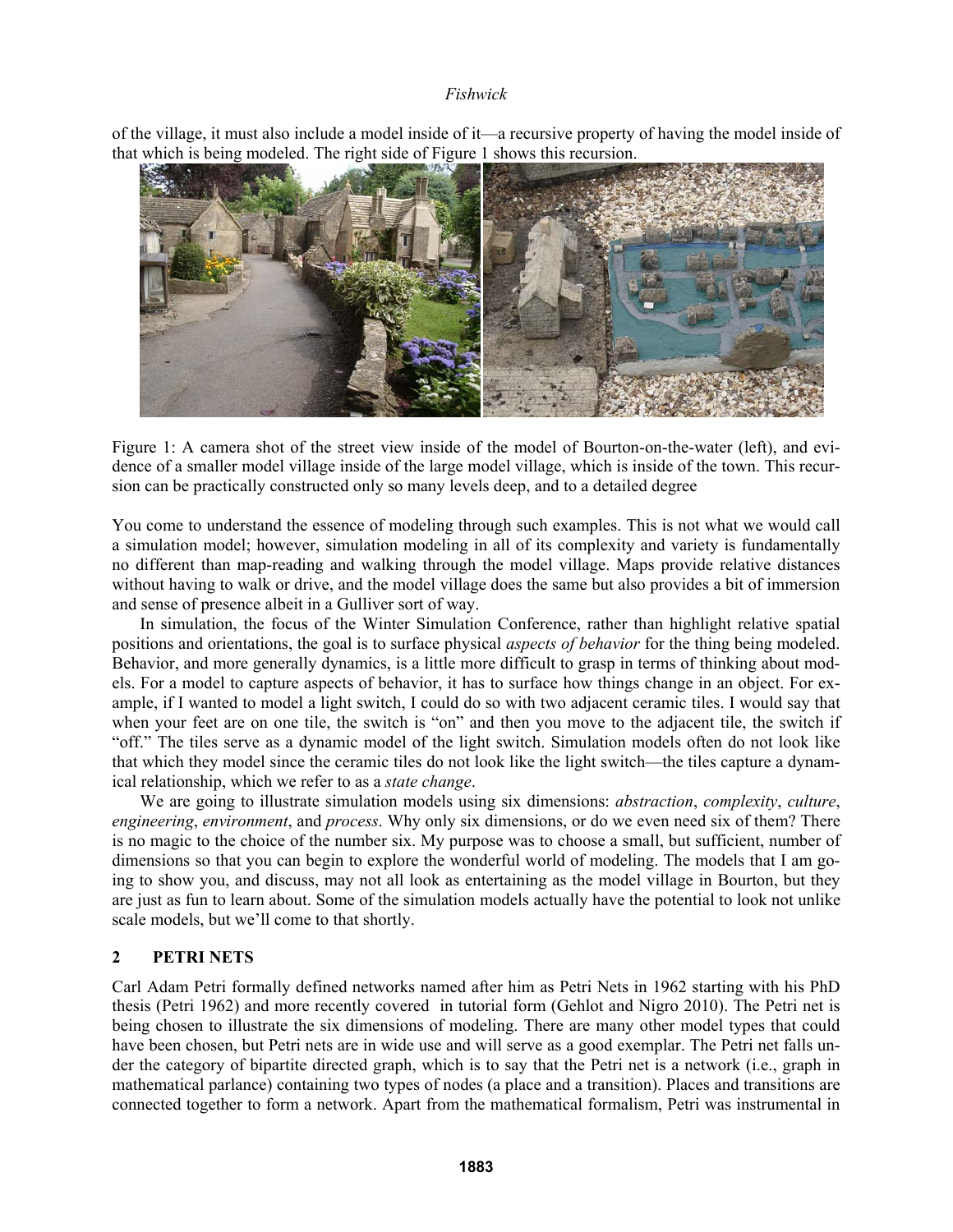of the village, it must also include a model inside of it—a recursive property of having the model inside of that which is being modeled. The right side of Figure 1 shows this recursion.



Figure 1: A camera shot of the street view inside of the model of Bourton-on-the-water (left), and evidence of a smaller model village inside of the large model village, which is inside of the town. This recursion can be practically constructed only so many levels deep, and to a detailed degree

You come to understand the essence of modeling through such examples. This is not what we would call a simulation model; however, simulation modeling in all of its complexity and variety is fundamentally no different than map-reading and walking through the model village. Maps provide relative distances without having to walk or drive, and the model village does the same but also provides a bit of immersion and sense of presence albeit in a Gulliver sort of way.

In simulation, the focus of the Winter Simulation Conference, rather than highlight relative spatial positions and orientations, the goal is to surface physical *aspects of behavior* for the thing being modeled. Behavior, and more generally dynamics, is a little more difficult to grasp in terms of thinking about models. For a model to capture aspects of behavior, it has to surface how things change in an object. For example, if I wanted to model a light switch, I could do so with two adjacent ceramic tiles. I would say that when your feet are on one tile, the switch is "on" and then you move to the adjacent tile, the switch if "off." The tiles serve as a dynamic model of the light switch. Simulation models often do not look like that which they model since the ceramic tiles do not look like the light switch—the tiles capture a dynamical relationship, which we refer to as a *state change*.

We are going to illustrate simulation models using six dimensions: *abstraction*, *complexity*, *culture*, *engineering*, *environment*, and *process*. Why only six dimensions, or do we even need six of them? There is no magic to the choice of the number six. My purpose was to choose a small, but sufficient, number of dimensions so that you can begin to explore the wonderful world of modeling. The models that I am going to show you, and discuss, may not all look as entertaining as the model village in Bourton, but they are just as fun to learn about. Some of the simulation models actually have the potential to look not unlike scale models, but we'll come to that shortly.

# **2 PETRI NETS**

Carl Adam Petri formally defined networks named after him as Petri Nets in 1962 starting with his PhD thesis (Petri 1962) and more recently covered in tutorial form (Gehlot and Nigro 2010). The Petri net is being chosen to illustrate the six dimensions of modeling. There are many other model types that could have been chosen, but Petri nets are in wide use and will serve as a good exemplar. The Petri net falls under the category of bipartite directed graph, which is to say that the Petri net is a network (i.e., graph in mathematical parlance) containing two types of nodes (a place and a transition). Places and transitions are connected together to form a network. Apart from the mathematical formalism, Petri was instrumental in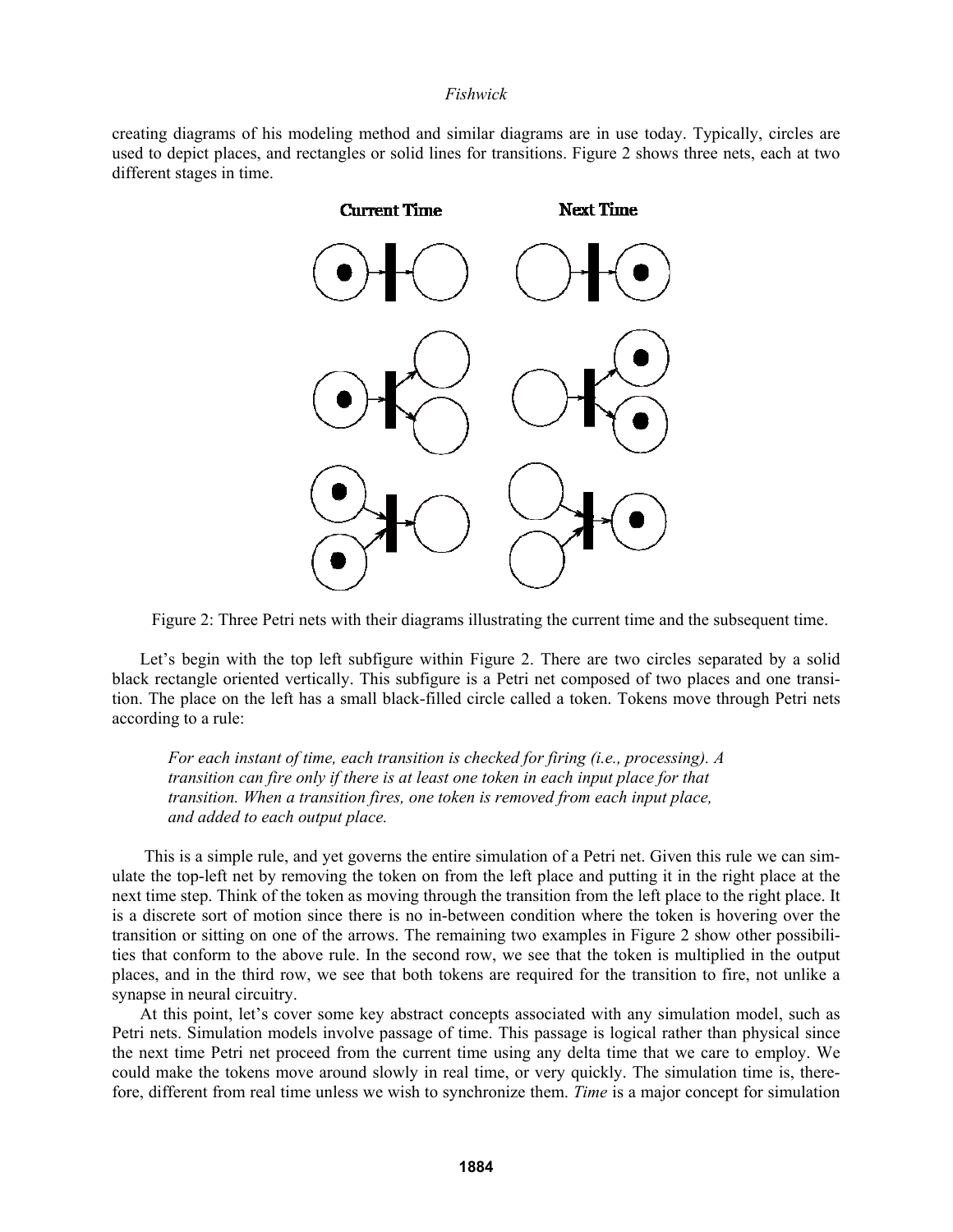creating diagrams of his modeling method and similar diagrams are in use today. Typically, circles are used to depict places, and rectangles or solid lines for transitions. Figure 2 shows three nets, each at two different stages in time.



Figure 2: Three Petri nets with their diagrams illustrating the current time and the subsequent time.

Let's begin with the top left subfigure within Figure 2. There are two circles separated by a solid black rectangle oriented vertically. This subfigure is a Petri net composed of two places and one transition. The place on the left has a small black-filled circle called a token. Tokens move through Petri nets according to a rule:

*For each instant of time, each transition is checked for firing (i.e., processing). A transition can fire only if there is at least one token in each input place for that transition. When a transition fires, one token is removed from each input place, and added to each output place.* 

 This is a simple rule, and yet governs the entire simulation of a Petri net. Given this rule we can simulate the top-left net by removing the token on from the left place and putting it in the right place at the next time step. Think of the token as moving through the transition from the left place to the right place. It is a discrete sort of motion since there is no in-between condition where the token is hovering over the transition or sitting on one of the arrows. The remaining two examples in Figure 2 show other possibilities that conform to the above rule. In the second row, we see that the token is multiplied in the output places, and in the third row, we see that both tokens are required for the transition to fire, not unlike a synapse in neural circuitry.

At this point, let's cover some key abstract concepts associated with any simulation model, such as Petri nets. Simulation models involve passage of time. This passage is logical rather than physical since the next time Petri net proceed from the current time using any delta time that we care to employ. We could make the tokens move around slowly in real time, or very quickly. The simulation time is, therefore, different from real time unless we wish to synchronize them. *Time* is a major concept for simulation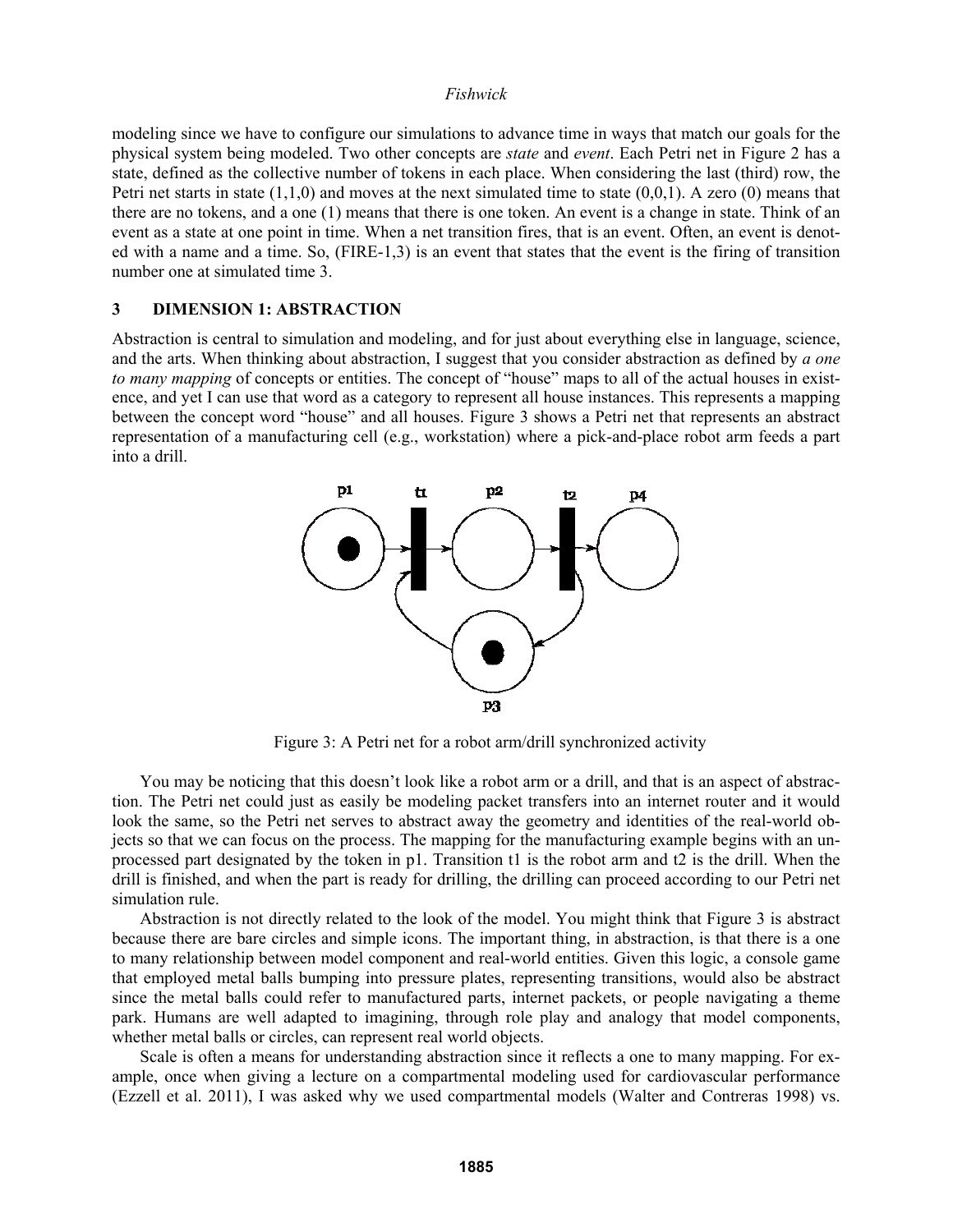modeling since we have to configure our simulations to advance time in ways that match our goals for the physical system being modeled. Two other concepts are *state* and *event*. Each Petri net in Figure 2 has a state, defined as the collective number of tokens in each place. When considering the last (third) row, the Petri net starts in state (1,1,0) and moves at the next simulated time to state (0,0,1). A zero (0) means that there are no tokens, and a one (1) means that there is one token. An event is a change in state. Think of an event as a state at one point in time. When a net transition fires, that is an event. Often, an event is denoted with a name and a time. So, (FIRE-1,3) is an event that states that the event is the firing of transition number one at simulated time 3.

## **3 DIMENSION 1: ABSTRACTION**

Abstraction is central to simulation and modeling, and for just about everything else in language, science, and the arts. When thinking about abstraction, I suggest that you consider abstraction as defined by *a one to many mapping* of concepts or entities. The concept of "house" maps to all of the actual houses in existence, and yet I can use that word as a category to represent all house instances. This represents a mapping between the concept word "house" and all houses. Figure 3 shows a Petri net that represents an abstract representation of a manufacturing cell (e.g., workstation) where a pick-and-place robot arm feeds a part into a drill.



Figure 3: A Petri net for a robot arm/drill synchronized activity

You may be noticing that this doesn't look like a robot arm or a drill, and that is an aspect of abstraction. The Petri net could just as easily be modeling packet transfers into an internet router and it would look the same, so the Petri net serves to abstract away the geometry and identities of the real-world objects so that we can focus on the process. The mapping for the manufacturing example begins with an unprocessed part designated by the token in p1. Transition t1 is the robot arm and t2 is the drill. When the drill is finished, and when the part is ready for drilling, the drilling can proceed according to our Petri net simulation rule.

Abstraction is not directly related to the look of the model. You might think that Figure 3 is abstract because there are bare circles and simple icons. The important thing, in abstraction, is that there is a one to many relationship between model component and real-world entities. Given this logic, a console game that employed metal balls bumping into pressure plates, representing transitions, would also be abstract since the metal balls could refer to manufactured parts, internet packets, or people navigating a theme park. Humans are well adapted to imagining, through role play and analogy that model components, whether metal balls or circles, can represent real world objects.

Scale is often a means for understanding abstraction since it reflects a one to many mapping. For example, once when giving a lecture on a compartmental modeling used for cardiovascular performance (Ezzell et al. 2011), I was asked why we used compartmental models (Walter and Contreras 1998) vs.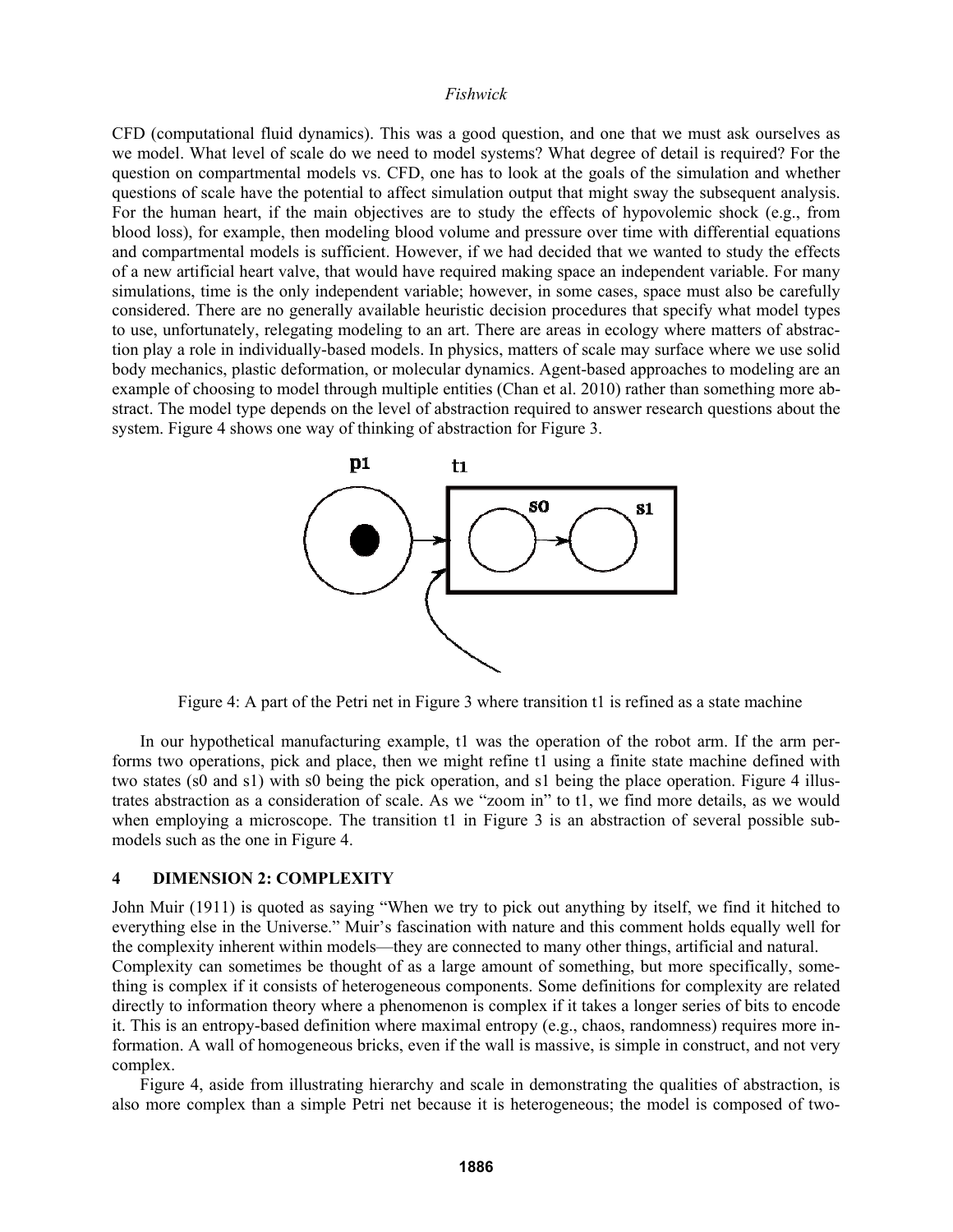CFD (computational fluid dynamics). This was a good question, and one that we must ask ourselves as we model. What level of scale do we need to model systems? What degree of detail is required? For the question on compartmental models vs. CFD, one has to look at the goals of the simulation and whether questions of scale have the potential to affect simulation output that might sway the subsequent analysis. For the human heart, if the main objectives are to study the effects of hypovolemic shock (e.g., from blood loss), for example, then modeling blood volume and pressure over time with differential equations and compartmental models is sufficient. However, if we had decided that we wanted to study the effects of a new artificial heart valve, that would have required making space an independent variable. For many simulations, time is the only independent variable; however, in some cases, space must also be carefully considered. There are no generally available heuristic decision procedures that specify what model types to use, unfortunately, relegating modeling to an art. There are areas in ecology where matters of abstraction play a role in individually-based models. In physics, matters of scale may surface where we use solid body mechanics, plastic deformation, or molecular dynamics. Agent-based approaches to modeling are an example of choosing to model through multiple entities (Chan et al. 2010) rather than something more abstract. The model type depends on the level of abstraction required to answer research questions about the system. Figure 4 shows one way of thinking of abstraction for Figure 3.



Figure 4: A part of the Petri net in Figure 3 where transition t1 is refined as a state machine

In our hypothetical manufacturing example, t1 was the operation of the robot arm. If the arm performs two operations, pick and place, then we might refine t1 using a finite state machine defined with two states (s0 and s1) with s0 being the pick operation, and s1 being the place operation. Figure 4 illustrates abstraction as a consideration of scale. As we "zoom in" to t1, we find more details, as we would when employing a microscope. The transition t1 in Figure 3 is an abstraction of several possible submodels such as the one in Figure 4.

### **4 DIMENSION 2: COMPLEXITY**

John Muir (1911) is quoted as saying "When we try to pick out anything by itself, we find it hitched to everything else in the Universe." Muir's fascination with nature and this comment holds equally well for the complexity inherent within models—they are connected to many other things, artificial and natural. Complexity can sometimes be thought of as a large amount of something, but more specifically, something is complex if it consists of heterogeneous components. Some definitions for complexity are related directly to information theory where a phenomenon is complex if it takes a longer series of bits to encode it. This is an entropy-based definition where maximal entropy (e.g., chaos, randomness) requires more information. A wall of homogeneous bricks, even if the wall is massive, is simple in construct, and not very complex.

Figure 4, aside from illustrating hierarchy and scale in demonstrating the qualities of abstraction, is also more complex than a simple Petri net because it is heterogeneous; the model is composed of two-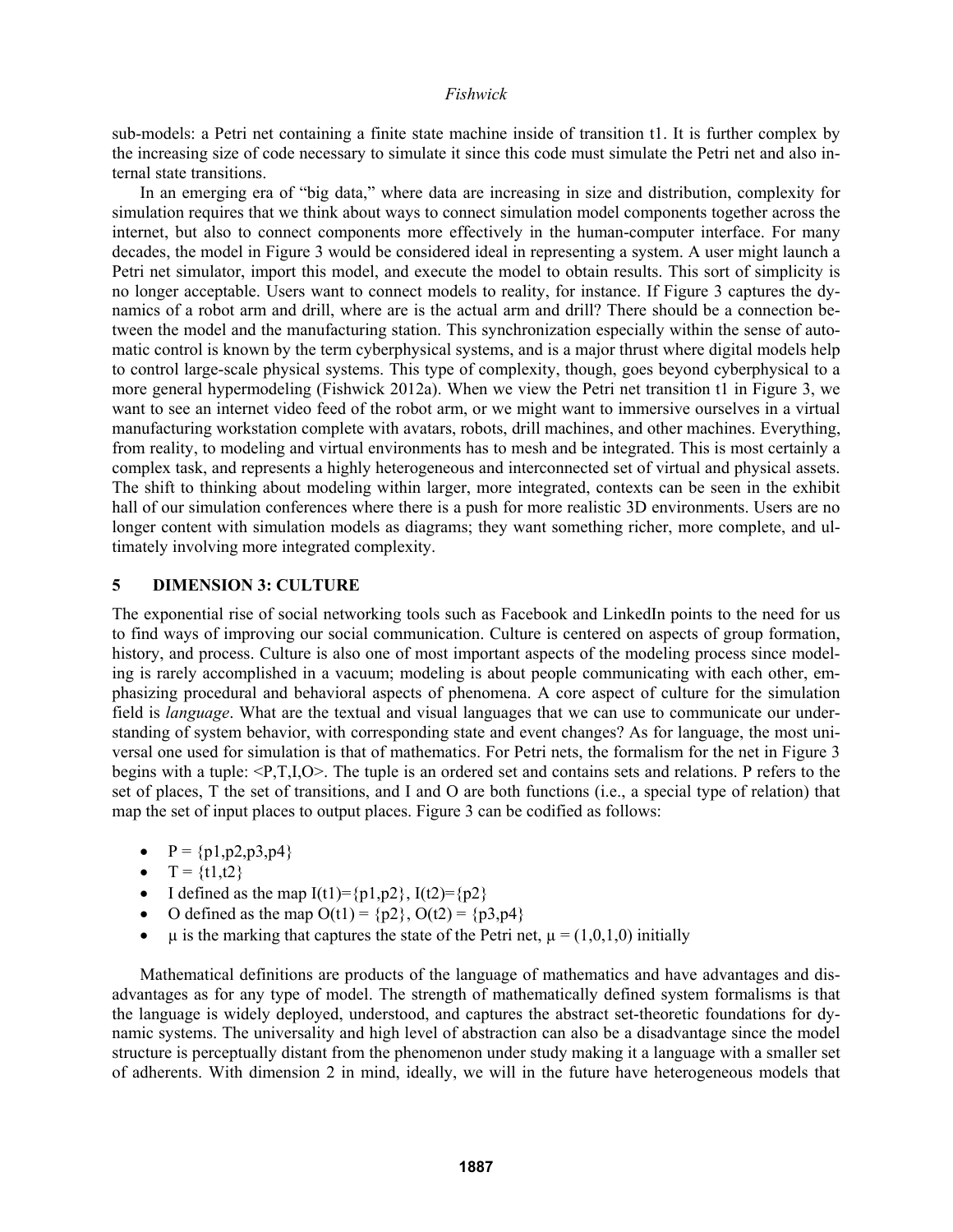sub-models: a Petri net containing a finite state machine inside of transition t1. It is further complex by the increasing size of code necessary to simulate it since this code must simulate the Petri net and also internal state transitions.

In an emerging era of "big data," where data are increasing in size and distribution, complexity for simulation requires that we think about ways to connect simulation model components together across the internet, but also to connect components more effectively in the human-computer interface. For many decades, the model in Figure 3 would be considered ideal in representing a system. A user might launch a Petri net simulator, import this model, and execute the model to obtain results. This sort of simplicity is no longer acceptable. Users want to connect models to reality, for instance. If Figure 3 captures the dynamics of a robot arm and drill, where are is the actual arm and drill? There should be a connection between the model and the manufacturing station. This synchronization especially within the sense of automatic control is known by the term cyberphysical systems, and is a major thrust where digital models help to control large-scale physical systems. This type of complexity, though, goes beyond cyberphysical to a more general hypermodeling (Fishwick 2012a). When we view the Petri net transition t1 in Figure 3, we want to see an internet video feed of the robot arm, or we might want to immersive ourselves in a virtual manufacturing workstation complete with avatars, robots, drill machines, and other machines. Everything, from reality, to modeling and virtual environments has to mesh and be integrated. This is most certainly a complex task, and represents a highly heterogeneous and interconnected set of virtual and physical assets. The shift to thinking about modeling within larger, more integrated, contexts can be seen in the exhibit hall of our simulation conferences where there is a push for more realistic 3D environments. Users are no longer content with simulation models as diagrams; they want something richer, more complete, and ultimately involving more integrated complexity.

## **5 DIMENSION 3: CULTURE**

The exponential rise of social networking tools such as Facebook and LinkedIn points to the need for us to find ways of improving our social communication. Culture is centered on aspects of group formation, history, and process. Culture is also one of most important aspects of the modeling process since modeling is rarely accomplished in a vacuum; modeling is about people communicating with each other, emphasizing procedural and behavioral aspects of phenomena. A core aspect of culture for the simulation field is *language*. What are the textual and visual languages that we can use to communicate our understanding of system behavior, with corresponding state and event changes? As for language, the most universal one used for simulation is that of mathematics. For Petri nets, the formalism for the net in Figure 3 begins with a tuple: <P,T,I,O>. The tuple is an ordered set and contains sets and relations. P refers to the set of places, T the set of transitions, and I and O are both functions (i.e., a special type of relation) that map the set of input places to output places. Figure 3 can be codified as follows:

- $P = {p1,p2,p3,p4}$
- $T = \{t1, t2\}$
- I defined as the map  $I(t1) = {p1, p2}$ ,  $I(t2) = {p2}$
- O defined as the map  $O(t1) = {p2}$ ,  $O(t2) = {p3,p4}$
- $\bullet$   $\mu$  is the marking that captures the state of the Petri net,  $\mu = (1,0,1,0)$  initially

Mathematical definitions are products of the language of mathematics and have advantages and disadvantages as for any type of model. The strength of mathematically defined system formalisms is that the language is widely deployed, understood, and captures the abstract set-theoretic foundations for dynamic systems. The universality and high level of abstraction can also be a disadvantage since the model structure is perceptually distant from the phenomenon under study making it a language with a smaller set of adherents. With dimension 2 in mind, ideally, we will in the future have heterogeneous models that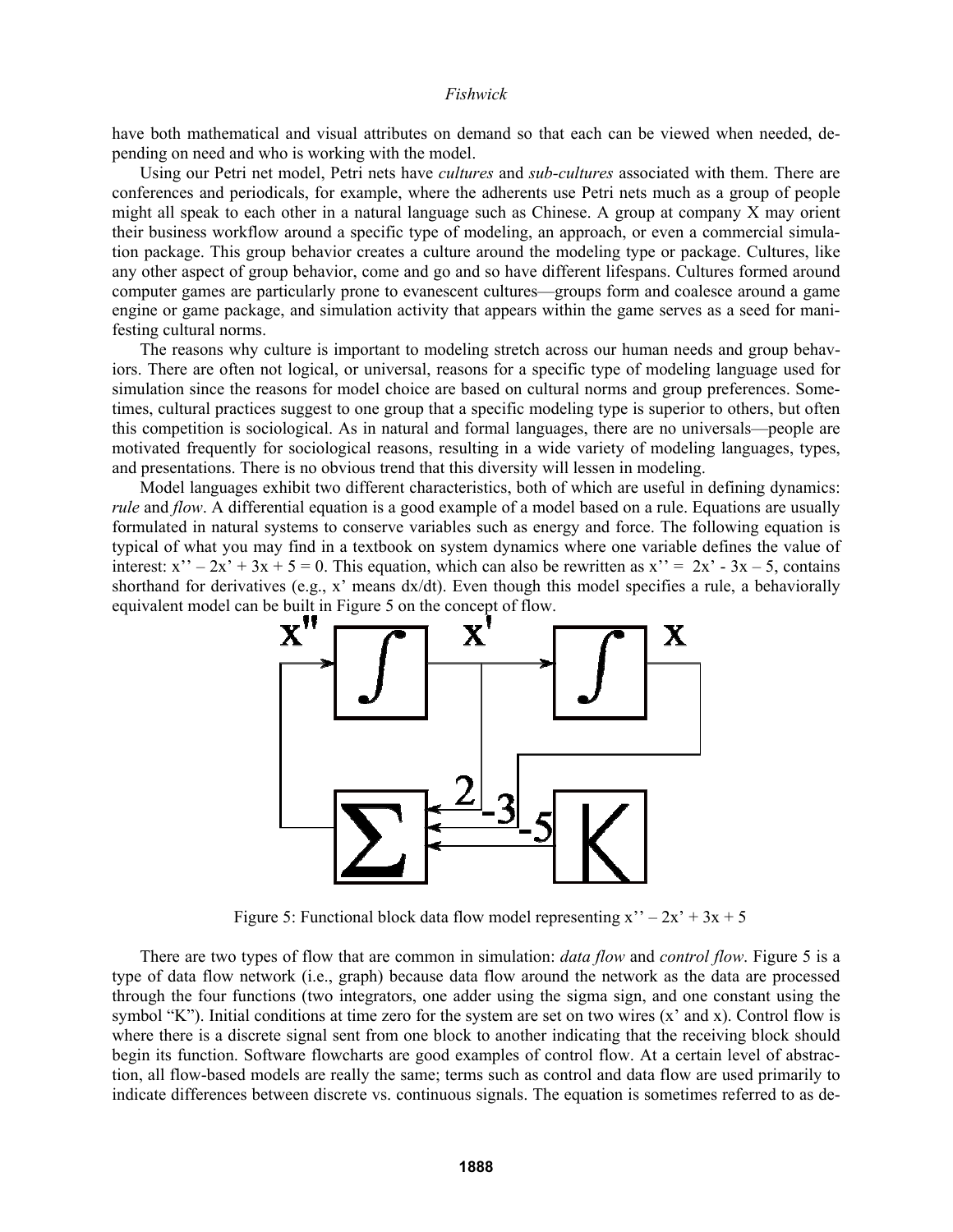have both mathematical and visual attributes on demand so that each can be viewed when needed, depending on need and who is working with the model.

Using our Petri net model, Petri nets have *cultures* and *sub-cultures* associated with them. There are conferences and periodicals, for example, where the adherents use Petri nets much as a group of people might all speak to each other in a natural language such as Chinese. A group at company X may orient their business workflow around a specific type of modeling, an approach, or even a commercial simulation package. This group behavior creates a culture around the modeling type or package. Cultures, like any other aspect of group behavior, come and go and so have different lifespans. Cultures formed around computer games are particularly prone to evanescent cultures—groups form and coalesce around a game engine or game package, and simulation activity that appears within the game serves as a seed for manifesting cultural norms.

The reasons why culture is important to modeling stretch across our human needs and group behaviors. There are often not logical, or universal, reasons for a specific type of modeling language used for simulation since the reasons for model choice are based on cultural norms and group preferences. Sometimes, cultural practices suggest to one group that a specific modeling type is superior to others, but often this competition is sociological. As in natural and formal languages, there are no universals—people are motivated frequently for sociological reasons, resulting in a wide variety of modeling languages, types, and presentations. There is no obvious trend that this diversity will lessen in modeling.

Model languages exhibit two different characteristics, both of which are useful in defining dynamics: *rule* and *flow*. A differential equation is a good example of a model based on a rule. Equations are usually formulated in natural systems to conserve variables such as energy and force. The following equation is typical of what you may find in a textbook on system dynamics where one variable defines the value of interest:  $x'' - 2x' + 3x + 5 = 0$ . This equation, which can also be rewritten as  $x'' = 2x' - 3x - 5$ , contains shorthand for derivatives (e.g., x' means  $dx/dt$ ). Even though this model specifies a rule, a behaviorally



Figure 5: Functional block data flow model representing  $x'' - 2x' + 3x + 5$ 

There are two types of flow that are common in simulation: *data flow* and *control flow*. Figure 5 is a type of data flow network (i.e., graph) because data flow around the network as the data are processed through the four functions (two integrators, one adder using the sigma sign, and one constant using the symbol "K"). Initial conditions at time zero for the system are set on two wires (x' and x). Control flow is where there is a discrete signal sent from one block to another indicating that the receiving block should begin its function. Software flowcharts are good examples of control flow. At a certain level of abstraction, all flow-based models are really the same; terms such as control and data flow are used primarily to indicate differences between discrete vs. continuous signals. The equation is sometimes referred to as de-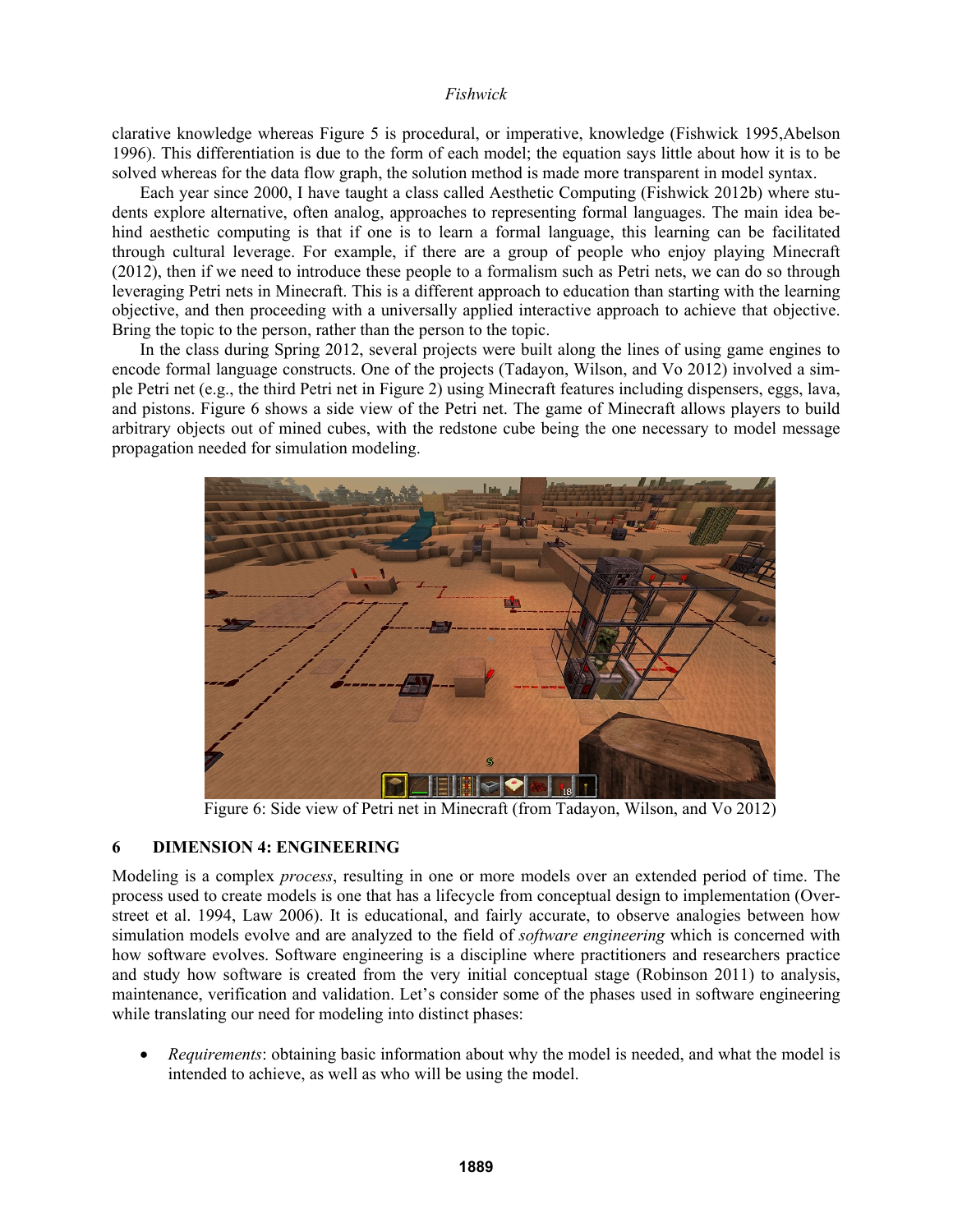clarative knowledge whereas Figure 5 is procedural, or imperative, knowledge (Fishwick 1995,Abelson 1996). This differentiation is due to the form of each model; the equation says little about how it is to be solved whereas for the data flow graph, the solution method is made more transparent in model syntax.

Each year since 2000, I have taught a class called Aesthetic Computing (Fishwick 2012b) where students explore alternative, often analog, approaches to representing formal languages. The main idea behind aesthetic computing is that if one is to learn a formal language, this learning can be facilitated through cultural leverage. For example, if there are a group of people who enjoy playing Minecraft (2012), then if we need to introduce these people to a formalism such as Petri nets, we can do so through leveraging Petri nets in Minecraft. This is a different approach to education than starting with the learning objective, and then proceeding with a universally applied interactive approach to achieve that objective. Bring the topic to the person, rather than the person to the topic.

In the class during Spring 2012, several projects were built along the lines of using game engines to encode formal language constructs. One of the projects (Tadayon, Wilson, and Vo 2012) involved a simple Petri net (e.g., the third Petri net in Figure 2) using Minecraft features including dispensers, eggs, lava, and pistons. Figure 6 shows a side view of the Petri net. The game of Minecraft allows players to build arbitrary objects out of mined cubes, with the redstone cube being the one necessary to model message propagation needed for simulation modeling.



Figure 6: Side view of Petri net in Minecraft (from Tadayon, Wilson, and Vo 2012)

# **6 DIMENSION 4: ENGINEERING**

Modeling is a complex *process*, resulting in one or more models over an extended period of time. The process used to create models is one that has a lifecycle from conceptual design to implementation (Overstreet et al. 1994, Law 2006). It is educational, and fairly accurate, to observe analogies between how simulation models evolve and are analyzed to the field of *software engineering* which is concerned with how software evolves. Software engineering is a discipline where practitioners and researchers practice and study how software is created from the very initial conceptual stage (Robinson 2011) to analysis, maintenance, verification and validation. Let's consider some of the phases used in software engineering while translating our need for modeling into distinct phases:

 *Requirements*: obtaining basic information about why the model is needed, and what the model is intended to achieve, as well as who will be using the model.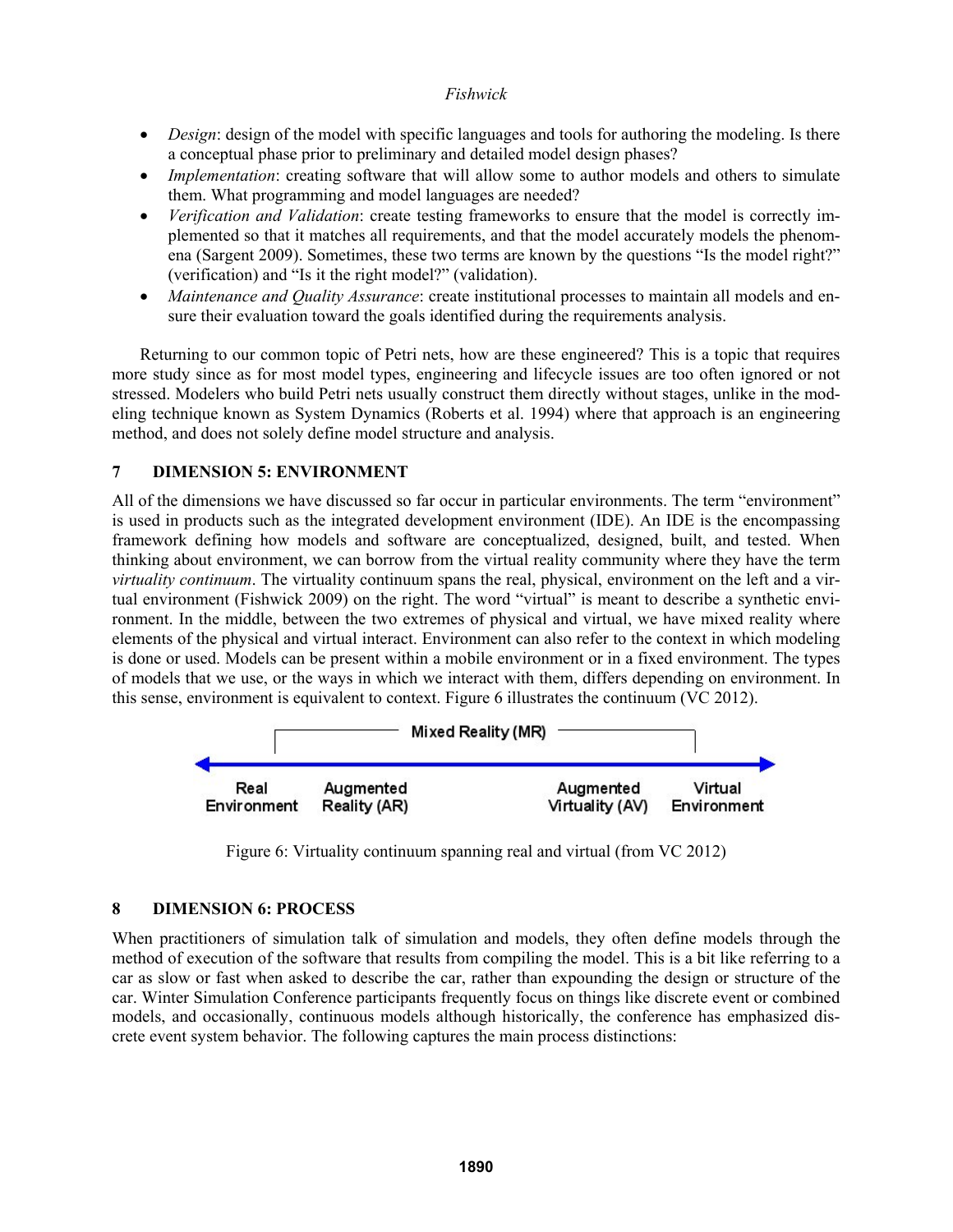- *Design*: design of the model with specific languages and tools for authoring the modeling. Is there a conceptual phase prior to preliminary and detailed model design phases?
- *Implementation*: creating software that will allow some to author models and others to simulate them. What programming and model languages are needed?
- *Verification and Validation*: create testing frameworks to ensure that the model is correctly implemented so that it matches all requirements, and that the model accurately models the phenomena (Sargent 2009). Sometimes, these two terms are known by the questions "Is the model right?" (verification) and "Is it the right model?" (validation).
- *Maintenance and Quality Assurance*: create institutional processes to maintain all models and ensure their evaluation toward the goals identified during the requirements analysis.

Returning to our common topic of Petri nets, how are these engineered? This is a topic that requires more study since as for most model types, engineering and lifecycle issues are too often ignored or not stressed. Modelers who build Petri nets usually construct them directly without stages, unlike in the modeling technique known as System Dynamics (Roberts et al. 1994) where that approach is an engineering method, and does not solely define model structure and analysis.

# **7 DIMENSION 5: ENVIRONMENT**

All of the dimensions we have discussed so far occur in particular environments. The term "environment" is used in products such as the integrated development environment (IDE). An IDE is the encompassing framework defining how models and software are conceptualized, designed, built, and tested. When thinking about environment, we can borrow from the virtual reality community where they have the term *virtuality continuum*. The virtuality continuum spans the real, physical, environment on the left and a virtual environment (Fishwick 2009) on the right. The word "virtual" is meant to describe a synthetic environment. In the middle, between the two extremes of physical and virtual, we have mixed reality where elements of the physical and virtual interact. Environment can also refer to the context in which modeling is done or used. Models can be present within a mobile environment or in a fixed environment. The types of models that we use, or the ways in which we interact with them, differs depending on environment. In this sense, environment is equivalent to context. Figure 6 illustrates the continuum (VC 2012).



Figure 6: Virtuality continuum spanning real and virtual (from VC 2012)

# **8 DIMENSION 6: PROCESS**

When practitioners of simulation talk of simulation and models, they often define models through the method of execution of the software that results from compiling the model. This is a bit like referring to a car as slow or fast when asked to describe the car, rather than expounding the design or structure of the car. Winter Simulation Conference participants frequently focus on things like discrete event or combined models, and occasionally, continuous models although historically, the conference has emphasized discrete event system behavior. The following captures the main process distinctions: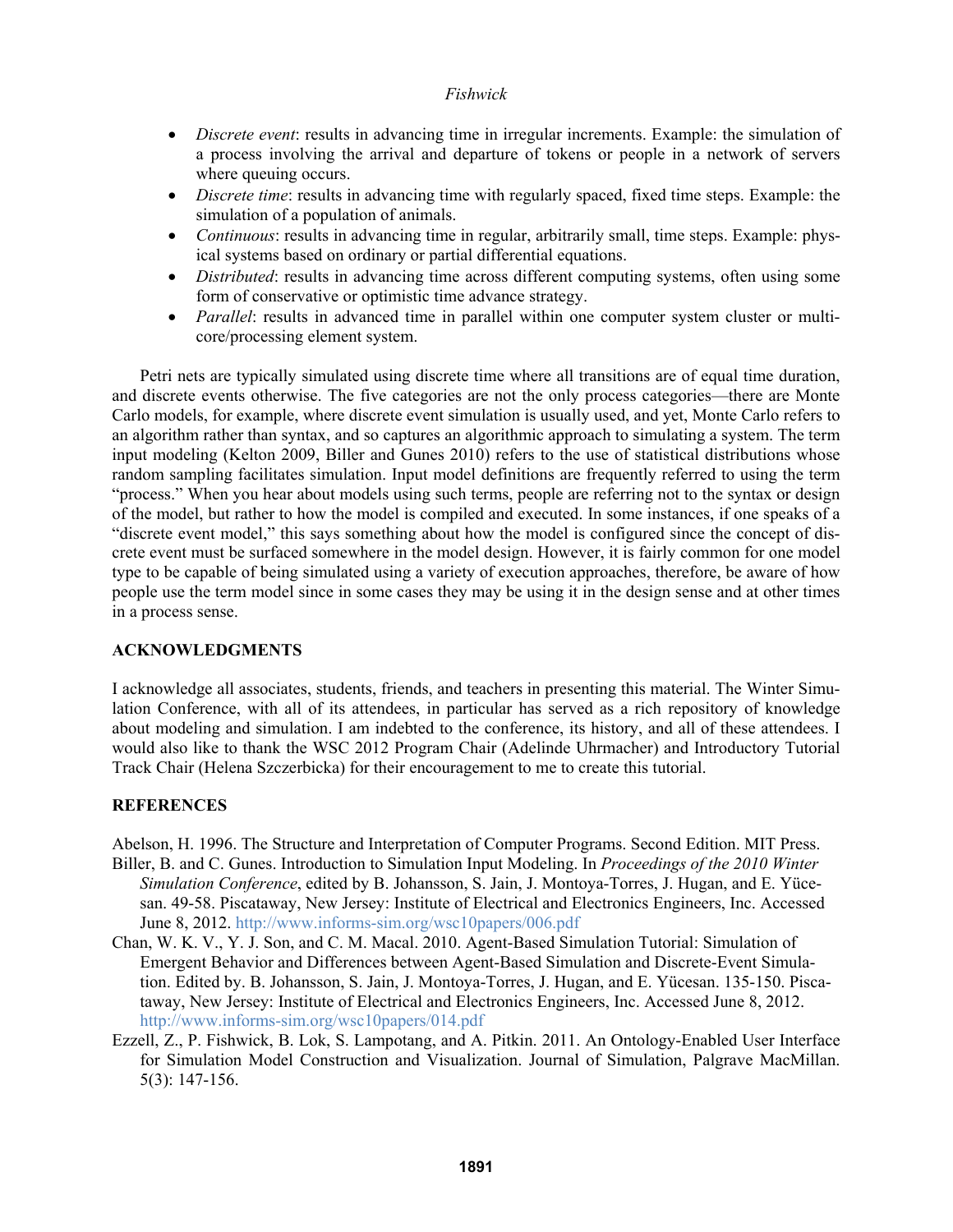- *Discrete event*: results in advancing time in irregular increments. Example: the simulation of a process involving the arrival and departure of tokens or people in a network of servers where queuing occurs.
- *Discrete time*: results in advancing time with regularly spaced, fixed time steps. Example: the simulation of a population of animals.
- *Continuous*: results in advancing time in regular, arbitrarily small, time steps. Example: physical systems based on ordinary or partial differential equations.
- *Distributed*: results in advancing time across different computing systems, often using some form of conservative or optimistic time advance strategy.
- *Parallel*: results in advanced time in parallel within one computer system cluster or multicore/processing element system.

Petri nets are typically simulated using discrete time where all transitions are of equal time duration, and discrete events otherwise. The five categories are not the only process categories—there are Monte Carlo models, for example, where discrete event simulation is usually used, and yet, Monte Carlo refers to an algorithm rather than syntax, and so captures an algorithmic approach to simulating a system. The term input modeling (Kelton 2009, Biller and Gunes 2010) refers to the use of statistical distributions whose random sampling facilitates simulation. Input model definitions are frequently referred to using the term "process." When you hear about models using such terms, people are referring not to the syntax or design of the model, but rather to how the model is compiled and executed. In some instances, if one speaks of a "discrete event model," this says something about how the model is configured since the concept of discrete event must be surfaced somewhere in the model design. However, it is fairly common for one model type to be capable of being simulated using a variety of execution approaches, therefore, be aware of how people use the term model since in some cases they may be using it in the design sense and at other times in a process sense.

# **ACKNOWLEDGMENTS**

I acknowledge all associates, students, friends, and teachers in presenting this material. The Winter Simulation Conference, with all of its attendees, in particular has served as a rich repository of knowledge about modeling and simulation. I am indebted to the conference, its history, and all of these attendees. I would also like to thank the WSC 2012 Program Chair (Adelinde Uhrmacher) and Introductory Tutorial Track Chair (Helena Szczerbicka) for their encouragement to me to create this tutorial.

# **REFERENCES**

Abelson, H. 1996. The Structure and Interpretation of Computer Programs. Second Edition. MIT Press.

- Biller, B. and C. Gunes. Introduction to Simulation Input Modeling. In *Proceedings of the 2010 Winter Simulation Conference*, edited by B. Johansson, S. Jain, J. Montoya-Torres, J. Hugan, and E. Yücesan. 49-58. Piscataway, New Jersey: Institute of Electrical and Electronics Engineers, Inc. Accessed June 8, 2012. http://www.informs-sim.org/wsc10papers/006.pdf
- Chan, W. K. V., Y. J. Son, and C. M. Macal. 2010. Agent-Based Simulation Tutorial: Simulation of Emergent Behavior and Differences between Agent-Based Simulation and Discrete-Event Simulation. Edited by. B. Johansson, S. Jain, J. Montoya-Torres, J. Hugan, and E. Yücesan. 135-150. Piscataway, New Jersey: Institute of Electrical and Electronics Engineers, Inc. Accessed June 8, 2012. http://www.informs-sim.org/wsc10papers/014.pdf
- Ezzell, Z., P. Fishwick, B. Lok, S. Lampotang, and A. Pitkin. 2011. An Ontology-Enabled User Interface for Simulation Model Construction and Visualization. Journal of Simulation, Palgrave MacMillan. 5(3): 147-156.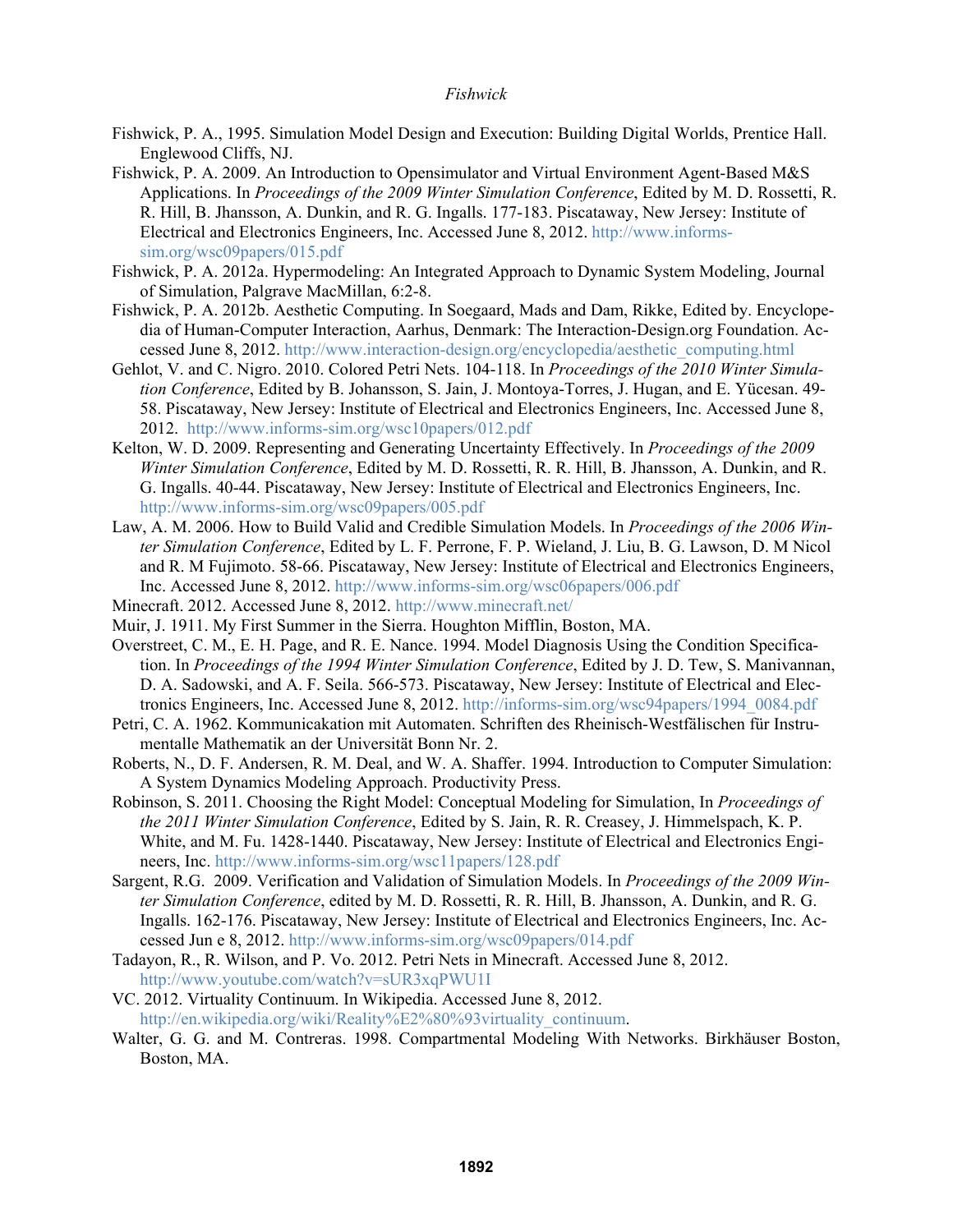- Fishwick, P. A., 1995. Simulation Model Design and Execution: Building Digital Worlds, Prentice Hall. Englewood Cliffs, NJ.
- Fishwick, P. A. 2009. An Introduction to Opensimulator and Virtual Environment Agent-Based M&S Applications. In *Proceedings of the 2009 Winter Simulation Conference*, Edited by M. D. Rossetti, R. R. Hill, B. Jhansson, A. Dunkin, and R. G. Ingalls. 177-183. Piscataway, New Jersey: Institute of Electrical and Electronics Engineers, Inc. Accessed June 8, 2012. http://www.informssim.org/wsc09papers/015.pdf
- Fishwick, P. A. 2012a. Hypermodeling: An Integrated Approach to Dynamic System Modeling, Journal of Simulation, Palgrave MacMillan, 6:2-8.
- Fishwick, P. A. 2012b. Aesthetic Computing. In Soegaard, Mads and Dam, Rikke, Edited by. Encyclopedia of Human-Computer Interaction, Aarhus, Denmark: The Interaction-Design.org Foundation. Accessed June 8, 2012. http://www.interaction-design.org/encyclopedia/aesthetic\_computing.html
- Gehlot, V. and C. Nigro. 2010. Colored Petri Nets. 104-118. In *Proceedings of the 2010 Winter Simulation Conference*, Edited by B. Johansson, S. Jain, J. Montoya-Torres, J. Hugan, and E. Yücesan. 49- 58. Piscataway, New Jersey: Institute of Electrical and Electronics Engineers, Inc. Accessed June 8, 2012. http://www.informs-sim.org/wsc10papers/012.pdf
- Kelton, W. D. 2009. Representing and Generating Uncertainty Effectively. In *Proceedings of the 2009 Winter Simulation Conference*, Edited by M. D. Rossetti, R. R. Hill, B. Jhansson, A. Dunkin, and R. G. Ingalls. 40-44. Piscataway, New Jersey: Institute of Electrical and Electronics Engineers, Inc. http://www.informs-sim.org/wsc09papers/005.pdf
- Law, A. M. 2006. How to Build Valid and Credible Simulation Models. In *Proceedings of the 2006 Winter Simulation Conference*, Edited by L. F. Perrone, F. P. Wieland, J. Liu, B. G. Lawson, D. M Nicol and R. M Fujimoto. 58-66. Piscataway, New Jersey: Institute of Electrical and Electronics Engineers, Inc. Accessed June 8, 2012. http://www.informs-sim.org/wsc06papers/006.pdf
- Minecraft. 2012. Accessed June 8, 2012. http://www.minecraft.net/
- Muir, J. 1911. My First Summer in the Sierra. Houghton Mifflin, Boston, MA.
- Overstreet, C. M., E. H. Page, and R. E. Nance. 1994. Model Diagnosis Using the Condition Specification. In *Proceedings of the 1994 Winter Simulation Conference*, Edited by J. D. Tew, S. Manivannan, D. A. Sadowski, and A. F. Seila. 566-573. Piscataway, New Jersey: Institute of Electrical and Electronics Engineers, Inc. Accessed June 8, 2012. http://informs-sim.org/wsc94papers/1994\_0084.pdf
- Petri, C. A. 1962. Kommunicakation mit Automaten. Schriften des Rheinisch-Westfälischen für Instrumentalle Mathematik an der Universität Bonn Nr. 2.
- Roberts, N., D. F. Andersen, R. M. Deal, and W. A. Shaffer. 1994. Introduction to Computer Simulation: A System Dynamics Modeling Approach. Productivity Press.
- Robinson, S. 2011. Choosing the Right Model: Conceptual Modeling for Simulation, In *Proceedings of the 2011 Winter Simulation Conference*, Edited by S. Jain, R. R. Creasey, J. Himmelspach, K. P. White, and M. Fu. 1428-1440. Piscataway, New Jersey: Institute of Electrical and Electronics Engineers, Inc. http://www.informs-sim.org/wsc11papers/128.pdf
- Sargent, R.G. 2009. Verification and Validation of Simulation Models. In *Proceedings of the 2009 Winter Simulation Conference*, edited by M. D. Rossetti, R. R. Hill, B. Jhansson, A. Dunkin, and R. G. Ingalls. 162-176. Piscataway, New Jersey: Institute of Electrical and Electronics Engineers, Inc. Accessed Jun e 8, 2012. http://www.informs-sim.org/wsc09papers/014.pdf
- Tadayon, R., R. Wilson, and P. Vo. 2012. Petri Nets in Minecraft. Accessed June 8, 2012. http://www.youtube.com/watch?v=sUR3xqPWU1I
- VC. 2012. Virtuality Continuum. In Wikipedia. Accessed June 8, 2012. http://en.wikipedia.org/wiki/Reality%E2%80%93virtuality\_continuum.
- Walter, G. G. and M. Contreras. 1998. Compartmental Modeling With Networks. Birkhäuser Boston, Boston, MA.